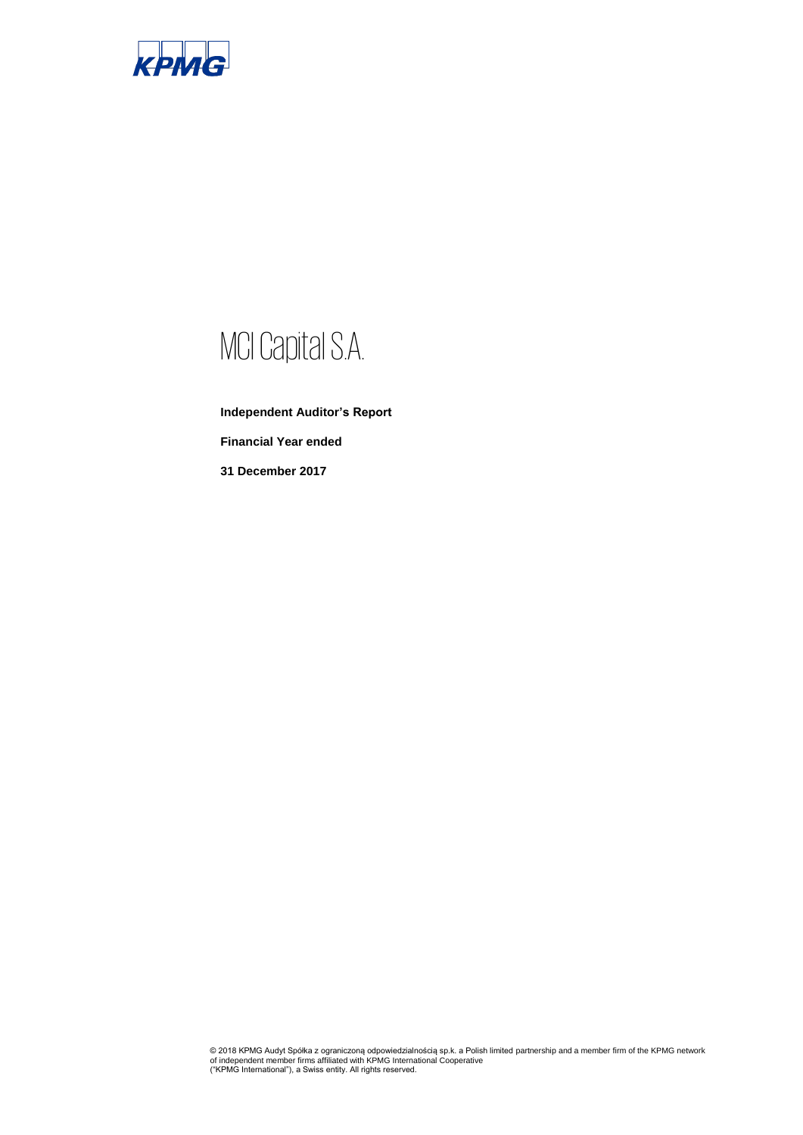

# MCI Capital S.A.

**Independent Auditor's Report Financial Year ended**

**31 December 2017**

© 2018 KPMG Audyt Spółka z ograniczoną odpowiedzialnością sp.k. a Polish limited partnership and a member firm of the KPMG network<br>of independent member firms affiliated with KPMG International Cooperative<br>("KPMG Internati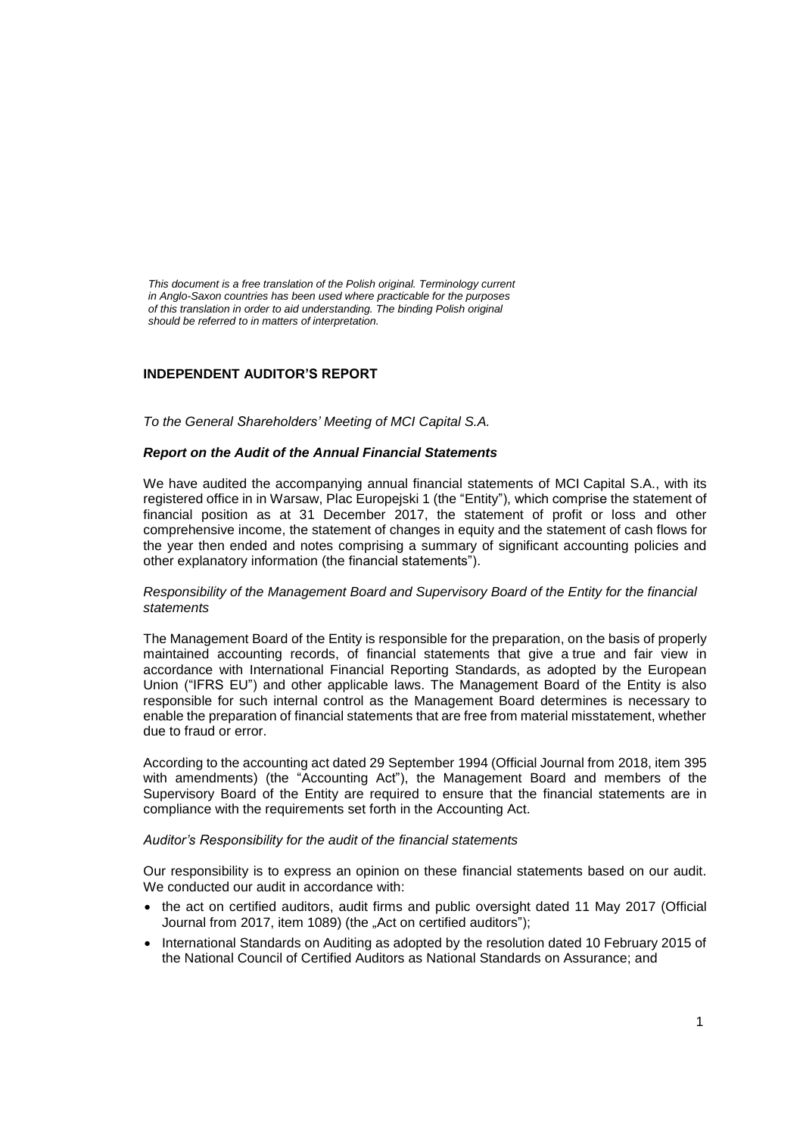*This document is a free translation of the Polish original. Terminology current in Anglo-Saxon countries has been used where practicable for the purposes of this translation in order to aid understanding. The binding Polish original should be referred to in matters of interpretation.*

# **INDEPENDENT AUDITOR'S REPORT**

*To the General Shareholders' Meeting of MCI Capital S.A.*

## *Report on the Audit of the Annual Financial Statements*

We have audited the accompanying annual financial statements of MCI Capital S.A., with its registered office in in Warsaw, Plac Europejski 1 (the "Entity"), which comprise the statement of financial position as at 31 December 2017, the statement of profit or loss and other comprehensive income, the statement of changes in equity and the statement of cash flows for the year then ended and notes comprising a summary of significant accounting policies and other explanatory information (the financial statements").

## *Responsibility of the Management Board and Supervisory Board of the Entity for the financial statements*

The Management Board of the Entity is responsible for the preparation, on the basis of properly maintained accounting records, of financial statements that give a true and fair view in accordance with International Financial Reporting Standards, as adopted by the European Union ("IFRS EU") and other applicable laws. The Management Board of the Entity is also responsible for such internal control as the Management Board determines is necessary to enable the preparation of financial statements that are free from material misstatement, whether due to fraud or error.

According to the accounting act dated 29 September 1994 (Official Journal from 2018, item 395 with amendments) (the "Accounting Act"), the Management Board and members of the Supervisory Board of the Entity are required to ensure that the financial statements are in compliance with the requirements set forth in the Accounting Act.

## *Auditor's Responsibility for the audit of the financial statements*

Our responsibility is to express an opinion on these financial statements based on our audit. We conducted our audit in accordance with:

- the act on certified auditors, audit firms and public oversight dated 11 May 2017 (Official Journal from 2017, item 1089) (the "Act on certified auditors");
- International Standards on Auditing as adopted by the resolution dated 10 February 2015 of the National Council of Certified Auditors as National Standards on Assurance; and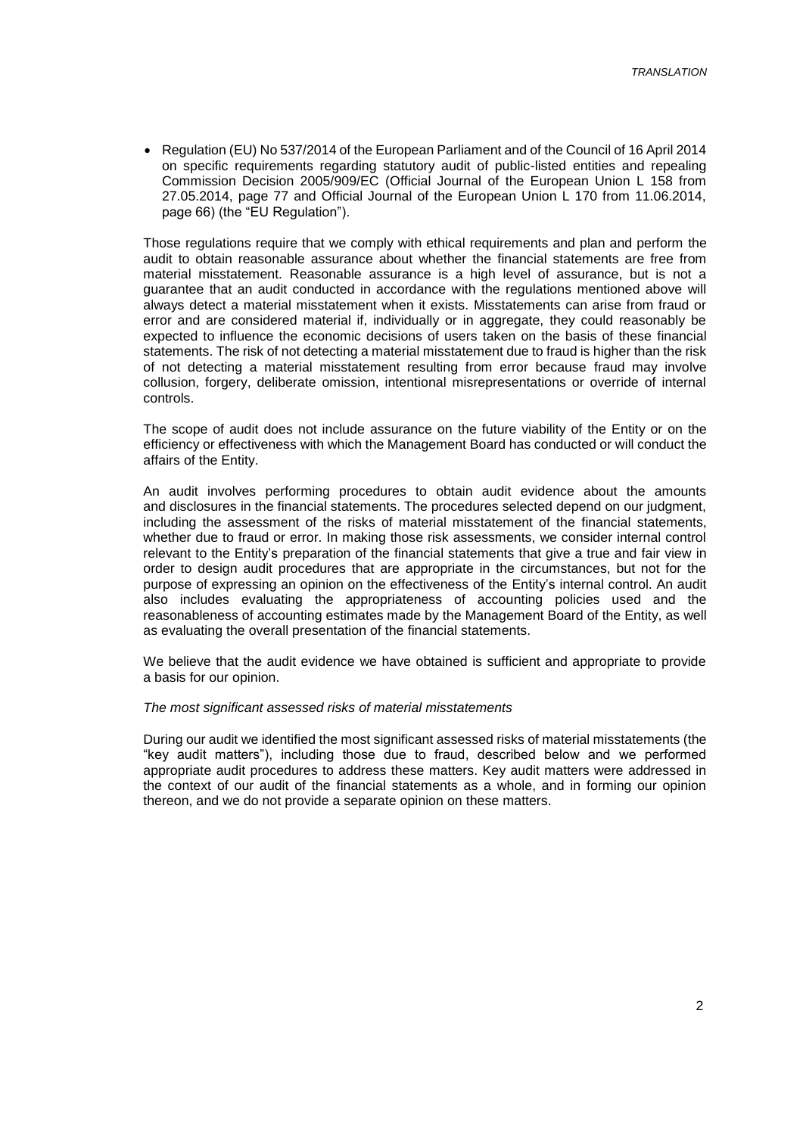• Regulation (EU) No 537/2014 of the European Parliament and of the Council of 16 April 2014 on specific requirements regarding statutory audit of public-listed entities and repealing Commission Decision 2005/909/EC (Official Journal of the European Union L 158 from 27.05.2014, page 77 and Official Journal of the European Union L 170 from 11.06.2014, page 66) (the "EU Regulation").

Those regulations require that we comply with ethical requirements and plan and perform the audit to obtain reasonable assurance about whether the financial statements are free from material misstatement. Reasonable assurance is a high level of assurance, but is not a guarantee that an audit conducted in accordance with the regulations mentioned above will always detect a material misstatement when it exists. Misstatements can arise from fraud or error and are considered material if, individually or in aggregate, they could reasonably be expected to influence the economic decisions of users taken on the basis of these financial statements. The risk of not detecting a material misstatement due to fraud is higher than the risk of not detecting a material misstatement resulting from error because fraud may involve collusion, forgery, deliberate omission, intentional misrepresentations or override of internal controls.

The scope of audit does not include assurance on the future viability of the Entity or on the efficiency or effectiveness with which the Management Board has conducted or will conduct the affairs of the Entity.

An audit involves performing procedures to obtain audit evidence about the amounts and disclosures in the financial statements. The procedures selected depend on our judgment, including the assessment of the risks of material misstatement of the financial statements, whether due to fraud or error. In making those risk assessments, we consider internal control relevant to the Entity's preparation of the financial statements that give a true and fair view in order to design audit procedures that are appropriate in the circumstances, but not for the purpose of expressing an opinion on the effectiveness of the Entity's internal control. An audit also includes evaluating the appropriateness of accounting policies used and the reasonableness of accounting estimates made by the Management Board of the Entity, as well as evaluating the overall presentation of the financial statements.

We believe that the audit evidence we have obtained is sufficient and appropriate to provide a basis for our opinion.

#### *The most significant assessed risks of material misstatements*

During our audit we identified the most significant assessed risks of material misstatements (the "key audit matters"), including those due to fraud, described below and we performed appropriate audit procedures to address these matters. Key audit matters were addressed in the context of our audit of the financial statements as a whole, and in forming our opinion thereon, and we do not provide a separate opinion on these matters.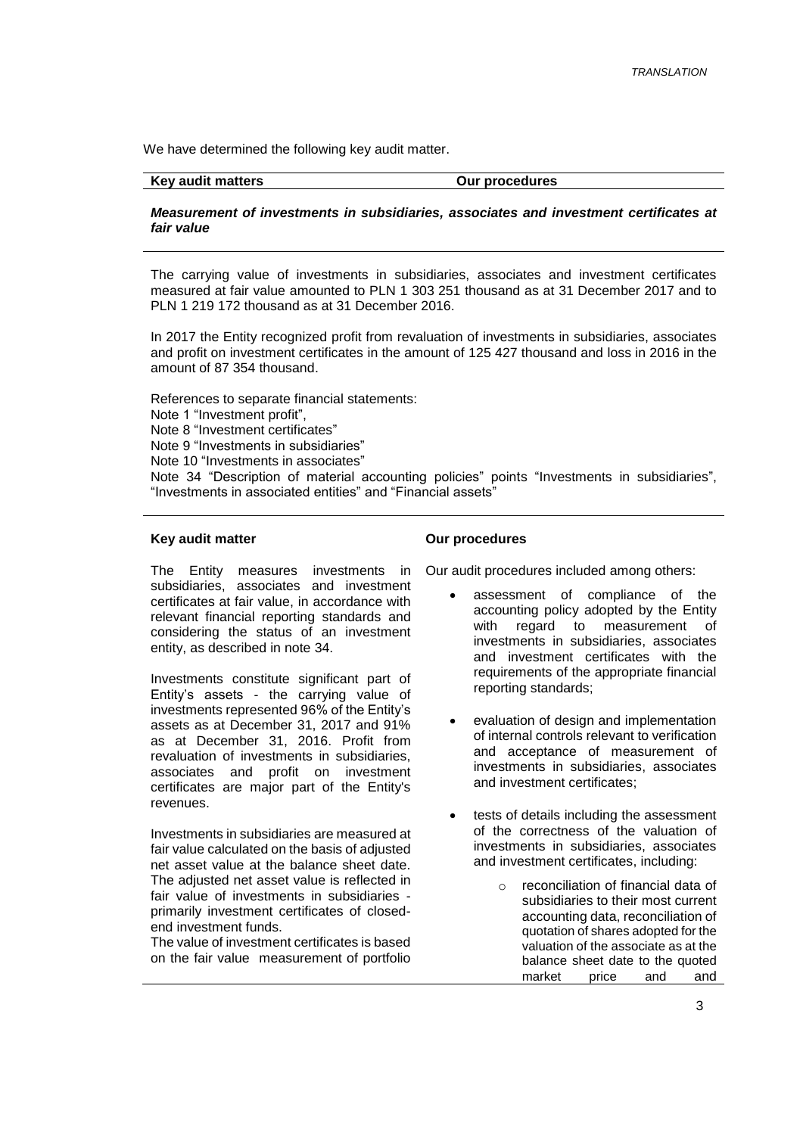We have determined the following key audit matter.

#### Key audit matters **COUT COUT A** COUT DUE OUT procedures

*Measurement of investments in subsidiaries, associates and investment certificates at fair value*

The carrying value of investments in subsidiaries, associates and investment certificates measured at fair value amounted to PLN 1 303 251 thousand as at 31 December 2017 and to PLN 1 219 172 thousand as at 31 December 2016.

In 2017 the Entity recognized profit from revaluation of investments in subsidiaries, associates and profit on investment certificates in the amount of 125 427 thousand and loss in 2016 in the amount of 87 354 thousand.

References to separate financial statements: Note 1 "Investment profit", Note 8 "Investment certificates" Note 9 "Investments in subsidiaries" Note 10 "Investments in associates" Note 34 "Description of material accounting policies" points "Investments in subsidiaries", "Investments in associated entities" and "Financial assets"

### **Key audit matter**

The Entity measures investments in subsidiaries, associates and investment certificates at fair value, in accordance with relevant financial reporting standards and considering the status of an investment entity, as described in note 34.

Investments constitute significant part of Entity's assets - the carrying value of investments represented 96% of the Entity's assets as at December 31, 2017 and 91% as at December 31, 2016. Profit from revaluation of investments in subsidiaries, associates and profit on investment certificates are major part of the Entity's revenues.

Investments in subsidiaries are measured at fair value calculated on the basis of adjusted net asset value at the balance sheet date. The adjusted net asset value is reflected in fair value of investments in subsidiaries primarily investment certificates of closedend investment funds.

The value of investment certificates is based on the fair value measurement of portfolio

#### **Our procedures**

Our audit procedures included among others:

- assessment of compliance of the accounting policy adopted by the Entity with regard to measurement of investments in subsidiaries, associates and investment certificates with the requirements of the appropriate financial reporting standards;
- evaluation of design and implementation of internal controls relevant to verification and acceptance of measurement of investments in subsidiaries, associates and investment certificates;
- tests of details including the assessment of the correctness of the valuation of investments in subsidiaries, associates and investment certificates, including:
	- reconciliation of financial data of subsidiaries to their most current accounting data, reconciliation of quotation of shares adopted for the valuation of the associate as at the balance sheet date to the quoted market price and and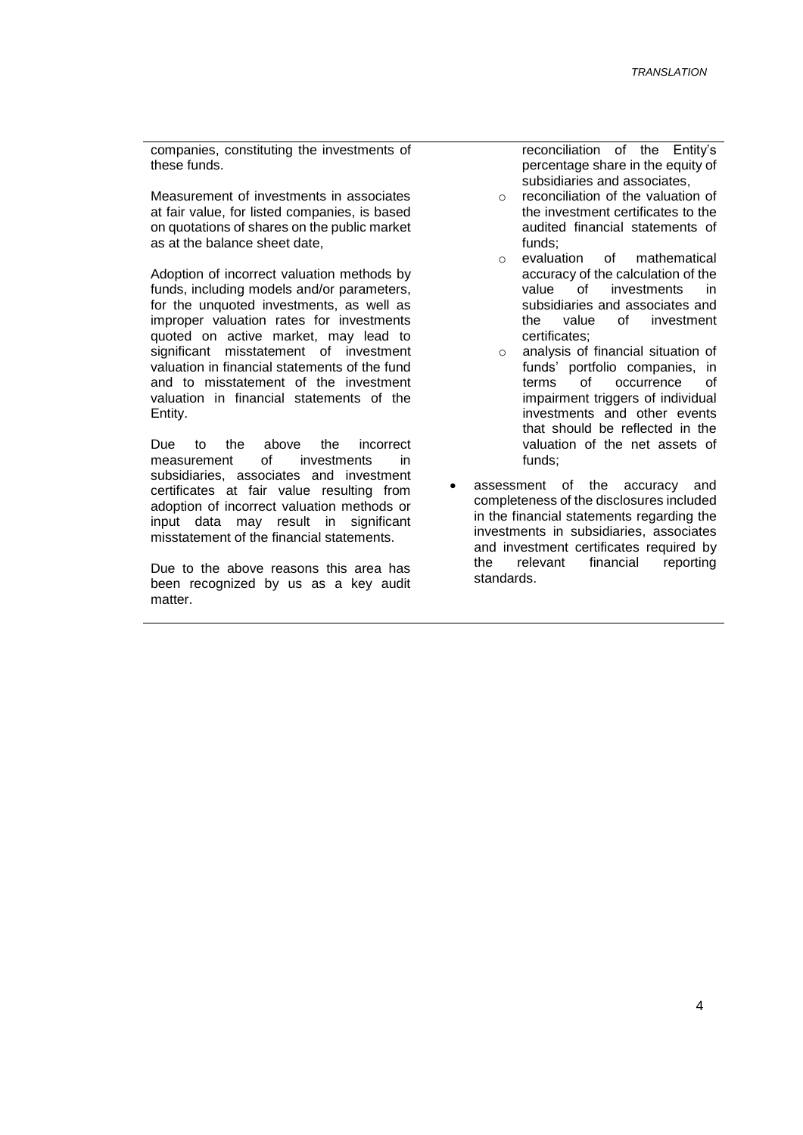companies, constituting the investments of these funds.

Measurement of investments in associates at fair value, for listed companies, is based on quotations of shares on the public market as at the balance sheet date,

Adoption of incorrect valuation methods by funds, including models and/or parameters, for the unquoted investments, as well as improper valuation rates for investments quoted on active market, may lead to significant misstatement of investment valuation in financial statements of the fund and to misstatement of the investment valuation in financial statements of the Entity.

Due to the above the incorrect<br>measurement of investments in measurement of investments in subsidiaries, associates and investment certificates at fair value resulting from adoption of incorrect valuation methods or input data may result in significant misstatement of the financial statements.

Due to the above reasons this area has been recognized by us as a key audit matter.

reconciliation of the Entity's percentage share in the equity of subsidiaries and associates,

- o reconciliation of the valuation of the investment certificates to the audited financial statements of funds;<br>evaluation
- o evaluation of mathematical accuracy of the calculation of the<br>value of investments in investments subsidiaries and associates and the value of investment certificates;
- analysis of financial situation of funds' portfolio companies, in terms of occurrence of impairment triggers of individual investments and other events that should be reflected in the valuation of the net assets of funds;
- assessment of the accuracy and completeness of the disclosures included in the financial statements regarding the investments in subsidiaries, associates and investment certificates required by the relevant financial reporting standards.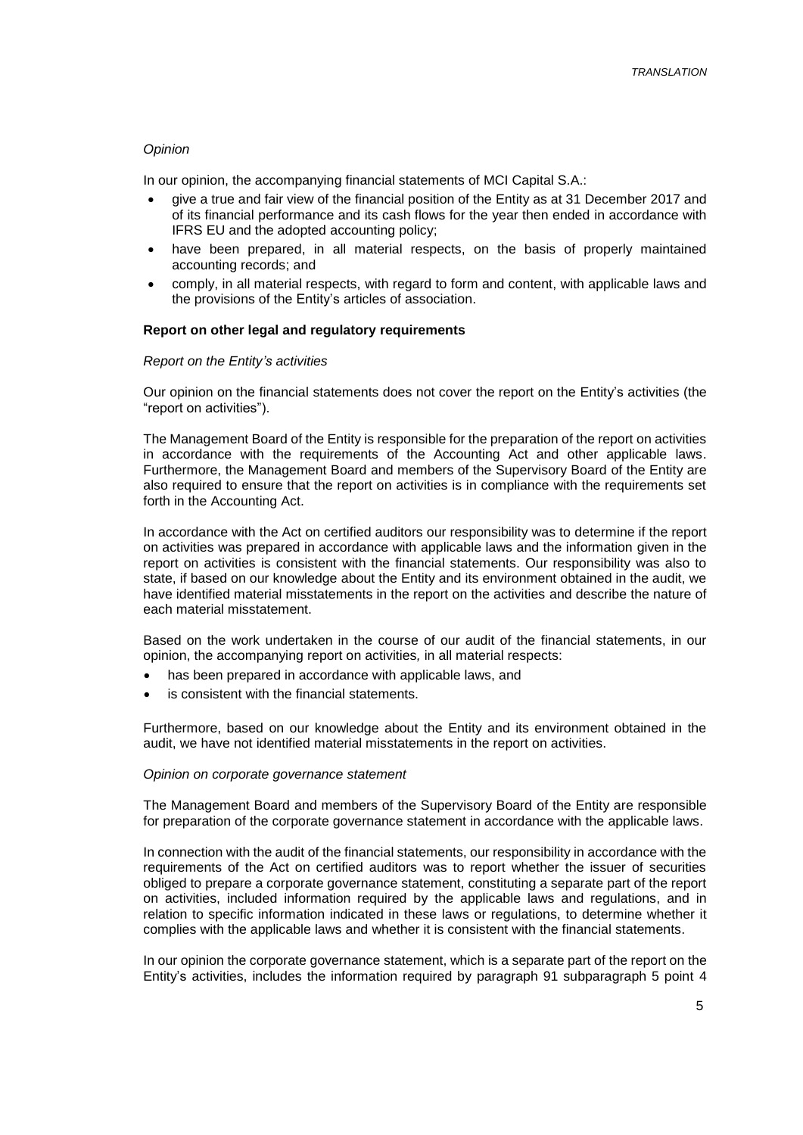#### *Opinion*

In our opinion, the accompanying financial statements of MCI Capital S.A.:

- give a true and fair view of the financial position of the Entity as at 31 December 2017 and of its financial performance and its cash flows for the year then ended in accordance with IFRS EU and the adopted accounting policy;
- have been prepared, in all material respects, on the basis of properly maintained accounting records; and
- comply, in all material respects, with regard to form and content, with applicable laws and the provisions of the Entity's articles of association.

### **Report on other legal and regulatory requirements**

### *Report on the Entity's activities*

Our opinion on the financial statements does not cover the report on the Entity's activities (the "report on activities").

The Management Board of the Entity is responsible for the preparation of the report on activities in accordance with the requirements of the Accounting Act and other applicable laws. Furthermore, the Management Board and members of the Supervisory Board of the Entity are also required to ensure that the report on activities is in compliance with the requirements set forth in the Accounting Act.

In accordance with the Act on certified auditors our responsibility was to determine if the report on activities was prepared in accordance with applicable laws and the information given in the report on activities is consistent with the financial statements. Our responsibility was also to state, if based on our knowledge about the Entity and its environment obtained in the audit, we have identified material misstatements in the report on the activities and describe the nature of each material misstatement.

Based on the work undertaken in the course of our audit of the financial statements, in our opinion, the accompanying report on activities*,* in all material respects:

- has been prepared in accordance with applicable laws, and
- is consistent with the financial statements.

Furthermore, based on our knowledge about the Entity and its environment obtained in the audit, we have not identified material misstatements in the report on activities.

#### *Opinion on corporate governance statement*

The Management Board and members of the Supervisory Board of the Entity are responsible for preparation of the corporate governance statement in accordance with the applicable laws.

In connection with the audit of the financial statements, our responsibility in accordance with the requirements of the Act on certified auditors was to report whether the issuer of securities obliged to prepare a corporate governance statement, constituting a separate part of the report on activities, included information required by the applicable laws and regulations, and in relation to specific information indicated in these laws or regulations, to determine whether it complies with the applicable laws and whether it is consistent with the financial statements.

In our opinion the corporate governance statement, which is a separate part of the report on the Entity's activities, includes the information required by paragraph 91 subparagraph 5 point 4